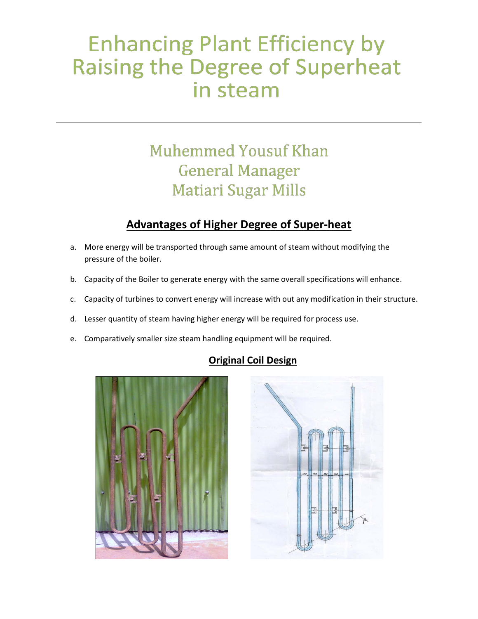# **Enhancing Plant Efficiency by Raising the Degree of Superheat** in steam

# **Muhemmed Yousuf Khan General Manager Matiari Sugar Mills**

## **Advantages of Higher Degree of Super-heat**

- a. More energy will be transported through same amount of steam without modifying the pressure of the boiler.
- b. Capacity of the Boiler to generate energy with the same overall specifications will enhance.
- c. Capacity of turbines to convert energy will increase with out any modification in their structure.
- d. Lesser quantity of steam having higher energy will be required for process use.
- e. Comparatively smaller size steam handling equipment will be required.

#### **Original Coil Design**



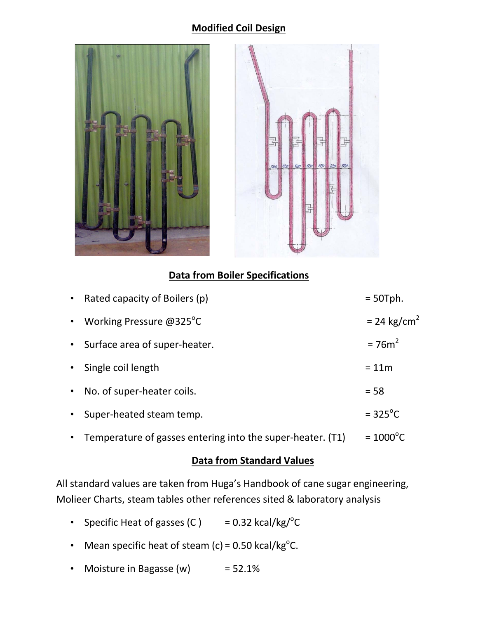#### **Modified Coil Design**





#### **Data from Boiler Specifications**

|           | • Rated capacity of Boilers $(p)$                            | $= 50$ Tph.               |
|-----------|--------------------------------------------------------------|---------------------------|
|           | • Working Pressure @325 $^{\circ}$ C                         | $= 24$ kg/cm <sup>2</sup> |
|           | • Surface area of super-heater.                              | $=76m^2$                  |
|           | • Single coil length                                         | $= 11m$                   |
|           | • No. of super-heater coils.                                 | $= 58$                    |
| $\bullet$ | Super-heated steam temp.                                     | $= 325^{\circ}$ C         |
|           | • Temperature of gasses entering into the super-heater. (T1) | $= 1000^{\circ}C$         |

#### **Data from Standard Values**

All standard values are taken from Huga's Handbook of cane sugar engineering, Molieer Charts, steam tables other references sited & laboratory analysis

- Specific Heat of gasses  $(C)$  $= 0.32$  kcal/kg/ $^{\circ}$ C
- Mean specific heat of steam (c) =  $0.50$  kcal/kg<sup>o</sup>C.
- Moisture in Bagasse  $(w)$  = 52.1%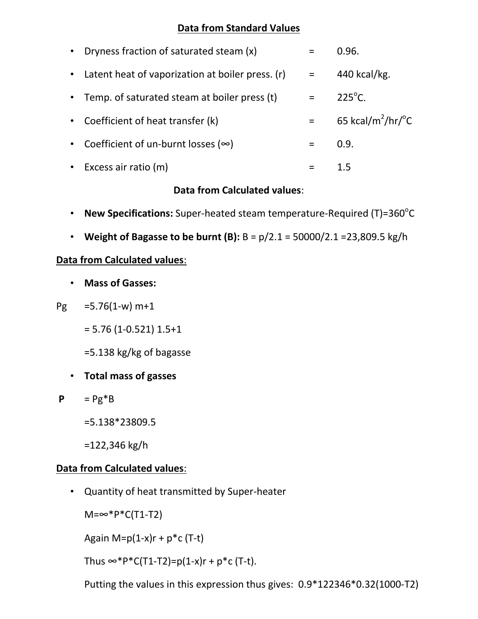#### **Data from Standard Values**

| • Dryness fraction of saturated steam (x)          | $=$      | 0.96.                                   |
|----------------------------------------------------|----------|-----------------------------------------|
| • Latent heat of vaporization at boiler press. (r) | $\equiv$ | 440 kcal/kg.                            |
| • Temp. of saturated steam at boiler press (t)     | $=$      | $225^{\circ}$ C.                        |
| • Coefficient of heat transfer (k)                 | $=$      | 65 kcal/m <sup>2</sup> /hr/ $\degree$ C |
| • Coefficient of un-burnt losses ( $\infty$ )      | $=$      | 0.9.                                    |
| • Excess air ratio $(m)$                           |          | 1.5                                     |

#### **Data from Calculated values**:

- New Specifications: Super-heated steam temperature-Required (T)=360<sup>°</sup>C
- **Weight of Bagasse to be burnt (B):** B = p/2.1 = 50000/2.1 =23,809.5 kg/h

#### **Data from Calculated values**:

- **Mass of Gasses:**
- $Pg = 5.76(1-w) m+1$ 
	- $= 5.76$  (1-0.521) 1.5+1

=5.138 kg/kg of bagasse

- **Total mass of gasses**
- $P = Pg^*B$ 
	- =5.138\*23809.5
	- =122,346 kg/h

### **Data from Calculated values**:

• Quantity of heat transmitted by Super-heater

 $M = ∞ * P * C(T1-T2)$ 

Again M= $p(1-x)r + p*c$  (T-t)

Thus  $\infty$ \*P\*C(T1-T2)=p(1-x)r + p\*c (T-t).

Putting the values in this expression thus gives: 0.9\*122346\*0.32(1000-T2)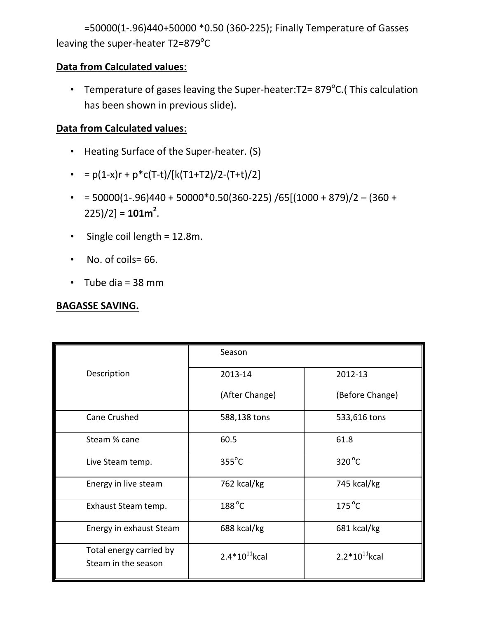=50000(1-.96)440+50000 \*0.50 (360-225); Finally Temperature of Gasses leaving the super-heater T2=879°C

#### **Data from Calculated values**:

• Temperature of gases leaving the Super-heater: T2 = 879°C. (This calculation has been shown in previous slide).

# **Data from Calculated values**:

- Heating Surface of the Super-heater. (S)
- $= p(1-x)r + p*c(T-t)/[k(T1+T2)/2-(T+t)/2]$
- $\bullet$  = 50000(1-.96)440 + 50000\*0.50(360-225) /65[(1000 + 879)/2 (360 +  $225)/2$ ] = **101m<sup>2</sup>.**
- Single coil length = 12.8m.
- No. of coils= 66.
- $\bullet$  Tube dia = 38 mm

#### **BAGASSE SAVING.**

|                                                | Season             |                    |
|------------------------------------------------|--------------------|--------------------|
| Description                                    | 2013-14            | 2012-13            |
|                                                | (After Change)     | (Before Change)    |
| Cane Crushed                                   | 588,138 tons       | 533,616 tons       |
| Steam % cane                                   | 60.5               | 61.8               |
| Live Steam temp.                               | $355^{\circ}$ C    | $320^{\circ}$ C    |
| Energy in live steam                           | 762 kcal/kg        | 745 kcal/kg        |
| Exhaust Steam temp.                            | $188^{\circ}$ C    | $175^{\circ}$ C    |
| Energy in exhaust Steam                        | 688 kcal/kg        | 681 kcal/kg        |
| Total energy carried by<br>Steam in the season | $2.4*10^{11}$ kcal | $2.2*10^{11}$ kcal |